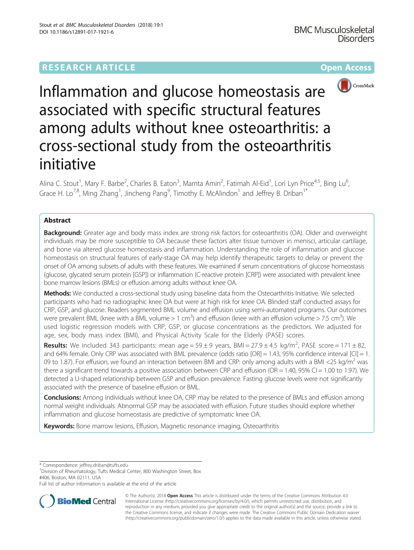# **RESEARCH ARTICLE Example 2014 12:30 The Community Community Community Community Community Community Community**



Inflammation and glucose homeostasis are associated with specific structural features among adults without knee osteoarthritis: a cross-sectional study from the osteoarthritis initiative

Alina C. Stout<sup>1</sup>, Mary F. Barbe<sup>2</sup>, Charles B. Eaton<sup>3</sup>, Mamta Amin<sup>2</sup>, Fatimah Al-Eid<sup>1</sup>, Lori Lyn Price<sup>4,5</sup>, Bing Lu<sup>6</sup> י<br>, Grace H. Lo<sup>7,8</sup>, Ming Zhang<sup>1</sup>, Jincheng Pang<sup>9</sup>, Timothy E. McAlindon<sup>1</sup> and Jeffrey B. Driban<sup>1\*</sup>

## Abstract

**Background:** Greater age and body mass index are strong risk factors for osteoarthritis (OA). Older and overweight individuals may be more susceptible to OA because these factors alter tissue turnover in menisci, articular cartilage, and bone via altered glucose homeostasis and inflammation. Understanding the role of inflammation and glucose homeostasis on structural features of early-stage OA may help identify therapeutic targets to delay or prevent the onset of OA among subsets of adults with these features. We examined if serum concentrations of glucose homeostasis (glucose, glycated serum protein [GSP]) or inflammation (C-reactive protein [CRP]) were associated with prevalent knee bone marrow lesions (BMLs) or effusion among adults without knee OA.

Methods: We conducted a cross-sectional study using baseline data from the Osteoarthritis Initiative. We selected participants who had no radiographic knee OA but were at high risk for knee OA. Blinded staff conducted assays for CRP, GSP, and glucose. Readers segmented BML volume and effusion using semi-automated programs. Our outcomes were prevalent BML (knee with a BML volume > 1 cm<sup>3</sup>) and effusion (knee with an effusion volume > 7.5 cm<sup>3</sup>). We used logistic regression models with CRP, GSP, or glucose concentrations as the predictors. We adjusted for age, sex, body mass index (BMI), and Physical Activity Scale for the Elderly (PASE) scores.

**Results:** We included 343 participants: mean  $age = 59 \pm 9$  years, BMI = 27.9  $\pm$  4.5 kg/m<sup>2</sup>, PASE score = 171  $\pm$  82, and 64% female. Only CRP was associated with BML prevalence (odds ratio  $[OR] = 1.43$ , 95% confidence interval  $[CI] = 1$ . 09 to 1.87). For effusion, we found an interaction between BMI and CRP: only among adults with a BMI <25 kg/m<sup>2</sup> was there a significant trend towards a positive association between CRP and effusion (OR = 1.40, 95% CI = 1.00 to 1.97). We detected a U-shaped relationship between GSP and effusion prevalence. Fasting glucose levels were not significantly associated with the presence of baseline effusion or BML.

**Conclusions:** Among individuals without knee OA, CRP may be related to the presence of BMLs and effusion among normal weight individuals. Abnormal GSP may be associated with effusion. Future studies should explore whether inflammation and glucose homeostasis are predictive of symptomatic knee OA.

Keywords: Bone marrow lesions, Effusion, Magnetic resonance imaging, Osteoarthritis

\* Correspondence: [jeffrey.driban@tufts.edu](mailto:jeffrey.driban@tufts.edu) <sup>1</sup>

<sup>1</sup> Division of Rheumatology, Tufts Medical Center, 800 Washington Street, Box #406, Boston, MA 02111, USA

Full list of author information is available at the end of the article



© The Author(s). 2018 Open Access This article is distributed under the terms of the Creative Commons Attribution 4.0 International License [\(http://creativecommons.org/licenses/by/4.0/](http://creativecommons.org/licenses/by/4.0/)), which permits unrestricted use, distribution, and reproduction in any medium, provided you give appropriate credit to the original author(s) and the source, provide a link to the Creative Commons license, and indicate if changes were made. The Creative Commons Public Domain Dedication waiver [\(http://creativecommons.org/publicdomain/zero/1.0/](http://creativecommons.org/publicdomain/zero/1.0/)) applies to the data made available in this article, unless otherwise stated.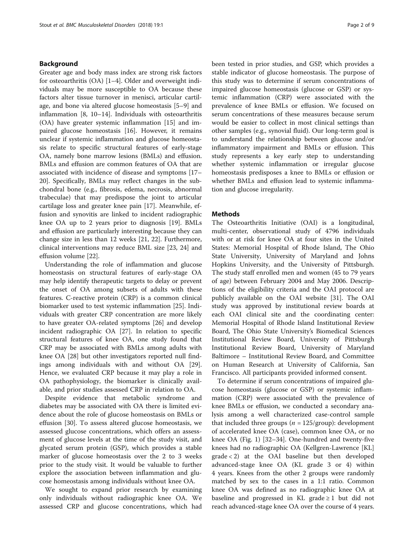## Background

Greater age and body mass index are strong risk factors for osteoarthritis (OA) [\[1](#page-6-0)–[4\]](#page-7-0). Older and overweight individuals may be more susceptible to OA because these factors alter tissue turnover in menisci, articular cartilage, and bone via altered glucose homeostasis [\[5](#page-7-0)–[9\]](#page-7-0) and inflammation [[8, 10](#page-7-0)–[14\]](#page-7-0). Individuals with osteoarthritis (OA) have greater systemic inflammation [\[15](#page-7-0)] and impaired glucose homeostasis [\[16](#page-7-0)]. However, it remains unclear if systemic inflammation and glucose homeostasis relate to specific structural features of early-stage OA, namely bone marrow lesions (BMLs) and effusion. BMLs and effusion are common features of OA that are associated with incidence of disease and symptoms [[17](#page-7-0)– [20\]](#page-7-0). Specifically, BMLs may reflect changes in the subchondral bone (e.g., fibrosis, edema, necrosis, abnormal trabeculae) that may predispose the joint to articular cartilage loss and greater knee pain [\[17](#page-7-0)]. Meanwhile, effusion and synovitis are linked to incident radiographic knee OA up to 2 years prior to diagnosis [\[19](#page-7-0)]. BMLs and effusion are particularly interesting because they can change size in less than 12 weeks [\[21](#page-7-0), [22\]](#page-7-0). Furthermore, clinical interventions may reduce BML size [[23](#page-7-0), [24\]](#page-7-0) and effusion volume [\[22\]](#page-7-0).

Understanding the role of inflammation and glucose homeostasis on structural features of early-stage OA may help identify therapeutic targets to delay or prevent the onset of OA among subsets of adults with these features. C-reactive protein (CRP) is a common clinical biomarker used to test systemic inflammation [\[25\]](#page-7-0). Individuals with greater CRP concentration are more likely to have greater OA-related symptoms [\[26\]](#page-7-0) and develop incident radiographic OA [\[27\]](#page-7-0). In relation to specific structural features of knee OA, one study found that CRP may be associated with BMLs among adults with knee OA [\[28](#page-7-0)] but other investigators reported null findings among individuals with and without OA [\[29](#page-7-0)]. Hence, we evaluated CRP because it may play a role in OA pathophysiology, the biomarker is clinically available, and prior studies assessed CRP in relation to OA.

Despite evidence that metabolic syndrome and diabetes may be associated with OA there is limited evidence about the role of glucose homeostasis on BMLs or effusion [[30\]](#page-7-0). To assess altered glucose homeostasis, we assessed glucose concentrations, which offers an assessment of glucose levels at the time of the study visit, and glycated serum protein (GSP), which provides a stable marker of glucose homeostasis over the 2 to 3 weeks prior to the study visit. It would be valuable to further explore the association between inflammation and glucose homeostasis among individuals without knee OA.

We sought to expand prior research by examining only individuals without radiographic knee OA. We assessed CRP and glucose concentrations, which had been tested in prior studies, and GSP, which provides a stable indicator of glucose homeostasis. The purpose of this study was to determine if serum concentrations of impaired glucose homeostasis (glucose or GSP) or systemic inflammation (CRP) were associated with the prevalence of knee BMLs or effusion. We focused on serum concentrations of these measures because serum would be easier to collect in most clinical settings than other samples (e.g., synovial fluid). Our long-term goal is to understand the relationship between glucose and/or inflammatory impairment and BMLs or effusion. This study represents a key early step to understanding whether systemic inflammation or irregular glucose homeostasis predisposes a knee to BMLs or effusion or whether BMLs and effusion lead to systemic inflammation and glucose irregularity.

## Methods

The Osteoarthritis Initiative (OAI) is a longitudinal, multi-center, observational study of 4796 individuals with or at risk for knee OA at four sites in the United States: Memorial Hospital of Rhode Island, The Ohio State University, University of Maryland and Johns Hopkins University, and the University of Pittsburgh. The study staff enrolled men and women (45 to 79 years of age) between February 2004 and May 2006. Descriptions of the eligibility criteria and the OAI protocol are publicly available on the OAI website [[31](#page-7-0)]. The OAI study was approved by institutional review boards at each OAI clinical site and the coordinating center: Memorial Hospital of Rhode Island Institutional Review Board, The Ohio State University's Biomedical Sciences Institutional Review Board, University of Pittsburgh Institutional Review Board, University of Maryland Baltimore – Institutional Review Board, and Committee on Human Research at University of California, San Francisco. All participants provided informed consent.

To determine if serum concentrations of impaired glucose homeostasis (glucose or GSP) or systemic inflammation (CRP) were associated with the prevalence of knee BMLs or effusion, we conducted a secondary analysis among a well characterized case-control sample that included three groups ( $n = 125$ /group): development of accelerated knee OA (case), common knee OA, or no knee OA (Fig. [1\)](#page-2-0) [\[32](#page-7-0)–[34\]](#page-7-0). One-hundred and twenty-five knees had no radiographic OA (Kellgren-Lawrence [KL] grade < 2) at the OAI baseline but then developed advanced-stage knee OA (KL grade 3 or 4) within 4 years. Knees from the other 2 groups were randomly matched by sex to the cases in a 1:1 ratio. Common knee OA was defined as no radiographic knee OA at baseline and progressed in KL grade  $\geq 1$  but did not reach advanced-stage knee OA over the course of 4 years.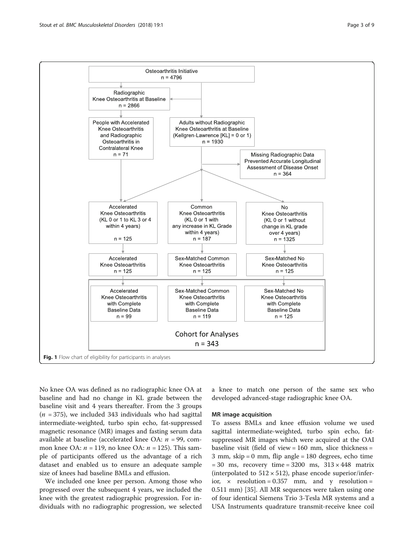<span id="page-2-0"></span>

No knee OA was defined as no radiographic knee OA at baseline and had no change in KL grade between the baseline visit and 4 years thereafter. From the 3 groups  $(n = 375)$ , we included 343 individuals who had sagittal intermediate-weighted, turbo spin echo, fat-suppressed magnetic resonance (MR) images and fasting serum data available at baseline (accelerated knee OA:  $n = 99$ , common knee OA:  $n = 119$ , no knee OA:  $n = 125$ ). This sample of participants offered us the advantage of a rich dataset and enabled us to ensure an adequate sample size of knees had baseline BMLs and effusion.

We included one knee per person. Among those who progressed over the subsequent 4 years, we included the knee with the greatest radiographic progression. For individuals with no radiographic progression, we selected a knee to match one person of the same sex who developed advanced-stage radiographic knee OA.

## MR image acquisition

To assess BMLs and knee effusion volume we used sagittal intermediate-weighted, turbo spin echo, fatsuppressed MR images which were acquired at the OAI baseline visit (field of view  $= 160$  mm, slice thickness  $=$ 3 mm, skip = 0 mm, flip angle = 180 degrees, echo time  $= 30$  ms, recovery time  $= 3200$  ms,  $313 \times 448$  matrix (interpolated to  $512 \times 512$ ), phase encode superior/inferior,  $\times$  resolution = 0.357 mm, and y resolution = 0.511 mm) [\[35](#page-7-0)]. All MR sequences were taken using one of four identical Siemens Trio 3-Tesla MR systems and a USA Instruments quadrature transmit-receive knee coil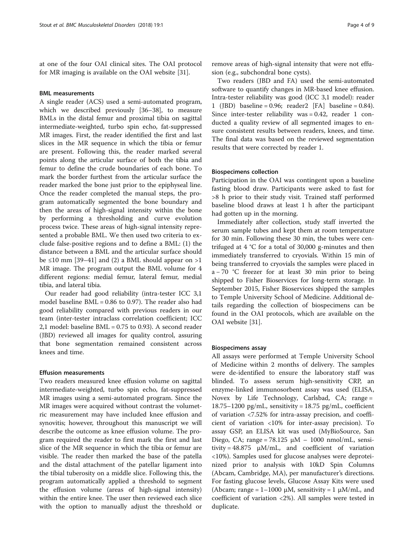at one of the four OAI clinical sites. The OAI protocol for MR imaging is available on the OAI website [\[31](#page-7-0)].

## BML measurements

A single reader (ACS) used a semi-automated program, which we described previously [\[36](#page-7-0)–[38\]](#page-7-0), to measure BMLs in the distal femur and proximal tibia on sagittal intermediate-weighted, turbo spin echo, fat-suppressed MR images. First, the reader identified the first and last slices in the MR sequence in which the tibia or femur are present. Following this, the reader marked several points along the articular surface of both the tibia and femur to define the crude boundaries of each bone. To mark the border furthest from the articular surface the reader marked the bone just prior to the epiphyseal line. Once the reader completed the manual steps, the program automatically segmented the bone boundary and then the areas of high-signal intensity within the bone by performing a thresholding and curve evolution process twice. These areas of high-signal intensity represented a probable BML. We then used two criteria to exclude false-positive regions and to define a BML: (1) the distance between a BML and the articular surface should be  $\leq 10$  mm [\[39](#page-7-0)–[41\]](#page-8-0) and (2) a BML should appear on  $>1$ MR image. The program output the BML volume for 4 different regions: medial femur, lateral femur, medial tibia, and lateral tibia.

Our reader had good reliability (intra-tester ICC 3,1 model baseline BML = 0.86 to 0.97). The reader also had good reliability compared with previous readers in our team (inter-tester intraclass correlation coefficient; ICC 2,1 model: baseline BML = 0.75 to 0.93). A second reader (JBD) reviewed all images for quality control, assuring that bone segmentation remained consistent across knees and time.

## Effusion measurements

Two readers measured knee effusion volume on sagittal intermediate-weighted, turbo spin echo, fat-suppressed MR images using a semi-automated program. Since the MR images were acquired without contrast the volumetric measurement may have included knee effusion and synovitis; however, throughout this manuscript we will describe the outcome as knee effusion volume. The program required the reader to first mark the first and last slice of the MR sequence in which the tibia or femur are visible. The reader then marked the base of the patella and the distal attachment of the patellar ligament into the tibial tuberosity on a middle slice. Following this, the program automatically applied a threshold to segment the effusion volume (areas of high-signal intensity) within the entire knee. The user then reviewed each slice with the option to manually adjust the threshold or

remove areas of high-signal intensity that were not effusion (e.g., subchondral bone cysts).

Two readers (JBD and FA) used the semi-automated software to quantify changes in MR-based knee effusion. Intra-tester reliability was good (ICC 3,1 model): reader 1 (JBD) baseline =  $0.96$ ; reader2 [FA] baseline =  $0.84$ ). Since inter-tester reliability was = 0.42, reader 1 conducted a quality review of all segmented images to ensure consistent results between readers, knees, and time. The final data was based on the reviewed segmentation results that were corrected by reader 1.

## Biospecimens collection

Participation in the OAI was contingent upon a baseline fasting blood draw. Participants were asked to fast for >8 h prior to their study visit. Trained staff performed baseline blood draws at least 1 h after the participant had gotten up in the morning.

Immediately after collection, study staff inverted the serum sample tubes and kept them at room temperature for 30 min. Following these 30 min, the tubes were centrifuged at 4 °C for a total of 30,000 g-minutes and then immediately transferred to cryovials. Within 15 min of being transferred to cryovials the samples were placed in a − 70 °C freezer for at least 30 min prior to being shipped to Fisher Bioservices for long-term storage. In September 2015, Fisher Bioservices shipped the samples to Temple University School of Medicine. Additional details regarding the collection of biospecimens can be found in the OAI protocols, which are available on the OAI website [[31\]](#page-7-0).

## Biospecimens assay

All assays were performed at Temple University School of Medicine within 2 months of delivery. The samples were de-identified to ensure the laboratory staff was blinded. To assess serum high-sensitivity CRP, an enzyme-linked immunosorbent assay was used (ELISA, Novex by Life Technology, Carlsbad, CA; range =  $18.75-1200$  pg/mL, sensitivity =  $18.75$  pg/mL, coefficient of variation <7.52% for intra-assay precision, and coefficient of variation <10% for inter-assay precision). To assay GSP, an ELISA kit was used (MyBioSource, San Diego, CA; range = 78.125 μM – 1000 nmol/mL, sensitivity =  $48.875 \mu M/mL$ , and coefficient of variation <10%). Samples used for glucose analyses were deproteinized prior to analysis with 10kD Spin Columns (Abcam, Cambridge, MA), per manufacturer's directions. For fasting glucose levels, Glucose Assay Kits were used (Abcam; range =  $1-1000 \mu M$ , sensitivity = 1  $\mu$ M/mL, and coefficient of variation <2%). All samples were tested in duplicate.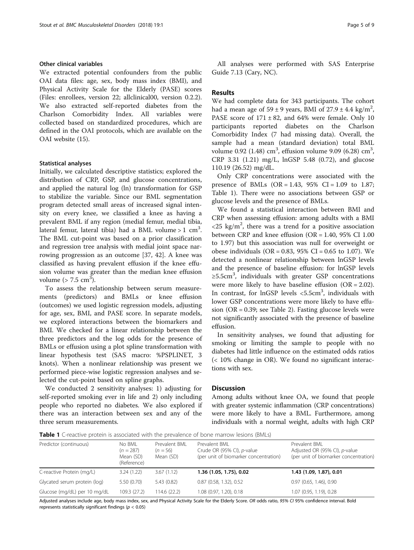## Other clinical variables

We extracted potential confounders from the public OAI data files: age, sex, body mass index (BMI), and Physical Activity Scale for the Elderly (PASE) scores (Files: enrollees, version 22; allclinical00, version 0.2.2). We also extracted self-reported diabetes from the Charlson Comorbidity Index. All variables were collected based on standardized procedures, which are defined in the OAI protocols, which are available on the OAI website (15).

## Statistical analyses

Initially, we calculated descriptive statistics; explored the distribution of CRP, GSP, and glucose concentrations, and applied the natural log (ln) transformation for GSP to stabilize the variable. Since our BML segmentation program detected small areas of increased signal intensity on every knee, we classified a knee as having a prevalent BML if any region (medial femur, medial tibia, lateral femur, lateral tibia) had a BML volume  $>1$  cm<sup>3</sup>. The BML cut-point was based on a prior classification and regression tree analysis with medial joint space narrowing progression as an outcome [[37](#page-7-0), [42](#page-8-0)]. A knee was classified as having prevalent effusion if the knee effusion volume was greater than the median knee effusion volume ( $> 7.5$  cm<sup>3</sup>).

To assess the relationship between serum measurements (predictors) and BMLs or knee effusion (outcomes) we used logistic regression models, adjusting for age, sex, BMI, and PASE score. In separate models, we explored interactions between the biomarkers and BMI. We checked for a linear relationship between the three predictors and the log odds for the presence of BMLs or effusion using a plot spline transformation with linear hypothesis test (SAS macro: %PSPLINET, 3 knots). When a nonlinear relationship was present we performed piece-wise logistic regression analyses and selected the cut-point based on spline graphs.

We conducted 2 sensitivity analyses: 1) adjusting for self-reported smoking ever in life and 2) only including people who reported no diabetes. We also explored if there was an interaction between sex and any of the three serum measurements.

All analyses were performed with SAS Enterprise Guide 7.13 (Cary, NC).

## Results

We had complete data for 343 participants. The cohort had a mean age of  $59 \pm 9$  years, BMI of  $27.9 \pm 4.4$  kg/m<sup>2</sup>, PASE score of  $171 \pm 82$ , and 64% were female. Only 10 participants reported diabetes on the Charlson Comorbidity Index (7 had missing data). Overall, the sample had a mean (standard deviation) total BML volume 0.92 (1.48)  $\text{cm}^3$ , effusion volume 9.09 (6.28)  $\text{cm}^3$ , CRP 3.31 (1.21) mg/L, lnGSP 5.48 (0.72), and glucose 110.19 (26.52) mg/dL.

Only CRP concentrations were associated with the presence of BMLs (OR = 1.43, 95% CI = 1.09 to 1.87; Table 1). There were no associations between GSP or glucose levels and the presence of BMLs.

We found a statistical interaction between BMI and CRP when assessing effusion: among adults with a BMI  $\langle 25 \text{ kg/m}^2$ , there was a trend for a positive association between CRP and knee effusion ( $OR = 1.40$ ,  $95\%$  CI 1.00 to 1.97) but this association was null for overweight or obese individuals (OR =  $0.83$ ,  $95\%$  CI =  $0.65$  to 1.07). We detected a nonlinear relationship between lnGSP levels and the presence of baseline effusion: for lnGSP levels ≥5.5cm<sup>3</sup>, individuals with greater GSP concentrations were more likely to have baseline effusion  $(OR = 2.02)$ . In contrast, for  $lnGSP$  levels  $\lt5.5cm^3$ , individuals with lower GSP concentrations were more likely to have effusion (OR = 0.39; see Table [2](#page-5-0)). Fasting glucose levels were not significantly associated with the presence of baseline effusion.

In sensitivity analyses, we found that adjusting for smoking or limiting the sample to people with no diabetes had little influence on the estimated odds ratios (< 10% change in OR). We found no significant interactions with sex.

## **Discussion**

Among adults without knee OA, we found that people with greater systemic inflammation (CRP concentrations) were more likely to have a BML. Furthermore, among individuals with a normal weight, adults with high CRP

**Table 1** C-reactive protein is associated with the prevalence of bone marrow lesions (BMLs)

| Predictor (continuous)       | No BML<br>$(n = 287)$<br>Mean (SD)<br>(Reference) | Prevalent BMI<br>$(n = 56)$<br>Mean (SD) | Prevalent BMI<br>Crude OR (95% CI), p-value<br>(per unit of biomarker concentration) | Prevalent BMI<br>Adjusted OR (95% CI), p-value<br>(per unit of biomarker concentration) |
|------------------------------|---------------------------------------------------|------------------------------------------|--------------------------------------------------------------------------------------|-----------------------------------------------------------------------------------------|
| C-reactive Protein (mg/L)    | 3.24(1.22)                                        | 3.67(1.12)                               | 1.36 (1.05, 1.75), 0.02                                                              | 1.43 (1.09, 1.87), 0.01                                                                 |
| Glycated serum protein (log) | 5.50 (0.70)                                       | 5.43 (0.82)                              | $0.87$ (0.58, 1.32), 0.52                                                            | $0.97$ (0.65, 1.46), 0.90                                                               |
| Glucose (mg/dL) per 10 mg/dL | 109.3 (27.2)                                      | 114.6 (22.2)                             | 1.08 (0.97, 1.20), 0.18                                                              | 1.07 (0.95, 1.19), 0.28                                                                 |

Adjusted analyses include age, body mass index, sex, and Physical Activity Scale for the Elderly Score. OR odds ratio, 95% CI 95% confidence interval. Bold represents statistically significant findings ( $p < 0.05$ )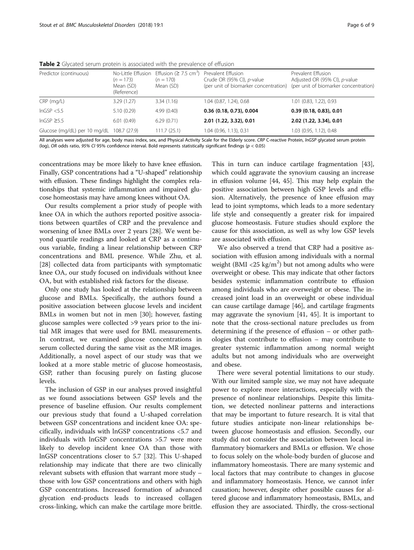Predictor (continuous) No-L

|      | s associated with the prevalence of effusion                              |                           |                              |
|------|---------------------------------------------------------------------------|---------------------------|------------------------------|
|      | ittle Effusion Effusion ( $\geq 7.5$ cm <sup>3</sup> ) Prevalent Effusion |                           | Prevalent Effusion           |
| 173) | $(n = 170)$                                                               | Crude OR (95% CI) n-value | Adjusted OR (95% CI) n-value |

<span id="page-5-0"></span>Table 2 Glycated serum protein i

|                                           | $(n = 173)$<br>Mean (SD)<br>(Reference) | $(n = 170)$<br>Mean (SD) | Crude OR (95% CI), p-value<br>(per unit of biomarker concentration) (per unit of biomarker concentration) | Adjusted OR (95% CI), p-value |
|-------------------------------------------|-----------------------------------------|--------------------------|-----------------------------------------------------------------------------------------------------------|-------------------------------|
| $CRP$ (mg/L)                              | 3.29(1.27)                              | 3.34(1.16)               | 1.04 (0.87, 1.24), 0.68                                                                                   | 1.01 (0.83, 1.22), 0.93       |
| InGSP < 5.5                               | 5.10(0.29)                              | 4.99(0.40)               | $0.36$ (0.18, 0.73), 0.004                                                                                | 0.39(0.18, 0.83), 0.01        |
| InGSP $\geq$ 5.5                          | 6.01(0.49)                              | 6.29(0.71)               | 2.01 (1.22, 3.32), 0.01                                                                                   | 2.02 (1.22, 3.34), 0.01       |
| Glucose (mg/dL) per 10 mg/dL 108.7 (27.9) |                                         | 111.7(25.1)              | 1.04 (0.96, 1.13), 0.31                                                                                   | 1.03 (0.95, 1.12), 0.48       |

All analyses were adjusted for age, body mass index, sex, and Physical Activity Scale for the Elderly score. CRP C-reactive Protein, lnGSP glycated serum protein (log), OR odds ratio, 95% CI 95% confidence interval. Bold represents statistically significant findings ( $p < 0.05$ )

concentrations may be more likely to have knee effusion. Finally, GSP concentrations had a "U-shaped" relationship with effusion. These findings highlight the complex relationships that systemic inflammation and impaired glucose homeostasis may have among knees without OA.

Our results complement a prior study of people with knee OA in which the authors reported positive associations between quartiles of CRP and the prevalence and worsening of knee BMLs over 2 years [[28\]](#page-7-0). We went beyond quartile readings and looked at CRP as a continuous variable, finding a linear relationship between CRP concentrations and BML presence. While Zhu, et al. [[28\]](#page-7-0) collected data from participants with symptomatic knee OA, our study focused on individuals without knee OA, but with established risk factors for the disease.

Only one study has looked at the relationship between glucose and BMLs. Specifically, the authors found a positive association between glucose levels and incident BMLs in women but not in men [\[30](#page-7-0)]; however, fasting glucose samples were collected >9 years prior to the initial MR images that were used for BML measurements. In contrast, we examined glucose concentrations in serum collected during the same visit as the MR images. Additionally, a novel aspect of our study was that we looked at a more stable metric of glucose homeostasis, GSP, rather than focusing purely on fasting glucose levels.

The inclusion of GSP in our analyses proved insightful as we found associations between GSP levels and the presence of baseline effusion. Our results complement our previous study that found a U-shaped correlation between GSP concentrations and incident knee OA: specifically, individuals with lnGSP concentrations <5.7 and individuals with lnGSP concentrations >5.7 were more likely to develop incident knee OA than those with lnGSP concentrations closer to 5.7 [\[32\]](#page-7-0). This U-shaped relationship may indicate that there are two clinically relevant subsets with effusion that warrant more study – those with low GSP concentrations and others with high GSP concentrations. Increased formation of advanced glycation end-products leads to increased collagen cross-linking, which can make the cartilage more brittle.

This in turn can induce cartilage fragmentation [\[43](#page-8-0)], which could aggravate the synovium causing an increase in effusion volume [\[44, 45](#page-8-0)]. This may help explain the positive association between high GSP levels and effusion. Alternatively, the presence of knee effusion may lead to joint symptoms, which leads to a more sedentary life style and consequently a greater risk for impaired glucose homeostasis. Future studies should explore the cause for this association, as well as why low GSP levels are associated with effusion.

We also observed a trend that CRP had a positive association with effusion among individuals with a normal weight (BMI <25 kg/m<sup>2</sup>) but not among adults who were overweight or obese. This may indicate that other factors besides systemic inflammation contribute to effusion among individuals who are overweight or obese. The increased joint load in an overweight or obese individual can cause cartilage damage [\[46](#page-8-0)], and cartilage fragments may aggravate the synovium [\[41](#page-8-0), [45](#page-8-0)]. It is important to note that the cross-sectional nature precludes us from determining if the presence of effusion – or other pathologies that contribute to effusion – may contribute to greater systemic inflammation among normal weight adults but not among individuals who are overweight and obese.

There were several potential limitations to our study. With our limited sample size, we may not have adequate power to explore more interactions, especially with the presence of nonlinear relationships. Despite this limitation, we detected nonlinear patterns and interactions that may be important to future research. It is vital that future studies anticipate non-linear relationships between glucose homeostasis and effusion. Secondly, our study did not consider the association between local inflammatory biomarkers and BMLs or effusion. We chose to focus solely on the whole-body burden of glucose and inflammatory homeostasis. There are many systemic and local factors that may contribute to changes in glucose and inflammatory homeostasis. Hence, we cannot infer causation; however, despite other possible causes for altered glucose and inflammatory homeostasis, BMLs, and effusion they are associated. Thirdly, the cross-sectional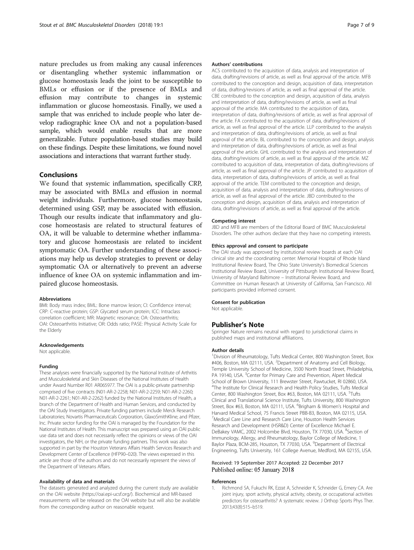<span id="page-6-0"></span>nature precludes us from making any causal inferences or disentangling whether systemic inflammation or glucose homeostasis leads the joint to be susceptible to BMLs or effusion or if the presence of BMLs and effusion may contribute to changes in systemic inflammation or glucose homeostasis. Finally, we used a sample that was enriched to include people who later develop radiographic knee OA and not a population-based sample, which would enable results that are more generalizable. Future population-based studies may build on these findings. Despite these limitations, we found novel associations and interactions that warrant further study.

## Conclusions

We found that systemic inflammation, specifically CRP, may be associated with BMLs and effusion in normal weight individuals. Furthermore, glucose homeostasis, determined using GSP, may be associated with effusion. Though our results indicate that inflammatory and glucose homeostasis are related to structural features of OA, it will be valuable to determine whether inflammatory and glucose homeostasis are related to incident symptomatic OA. Further understanding of these associations may help us develop strategies to prevent or delay symptomatic OA or alternatively to prevent an adverse influence of knee OA on systemic inflammation and impaired glucose homeostasis.

#### Abbreviations

BMI: Body mass index; BML: Bone marrow lesion; CI: Confidence interval; CRP: C-reactive protein; GSP: Glycated serum protein; ICC: Intraclass correlation coefficient; MR: Magnetic resonance; OA: Osteoarthritis; OAI: Osteoarthritis Initiative; OR: Odds ratio; PASE: Physical Activity Scale for the Elderly

#### Acknowledgements

Not applicable.

#### Funding

These analyses were financially supported by the National Institute of Arthritis and Musculoskeletal and Skin Diseases of the National Institutes of Health under Award Number R01 AR065977. The OAI is a public-private partnership comprised of five contracts (N01-AR-2-2258; N01-AR-2-2259; N01-AR-2-2260; N01-AR-2-2261; N01-AR-2-2262) funded by the National Institutes of Health, a branch of the Department of Health and Human Services, and conducted by the OAI Study Investigators. Private funding partners include Merck Research Laboratories; Novartis Pharmaceuticals Corporation, GlaxoSmithKline; and Pfizer, Inc. Private sector funding for the OAI is managed by the Foundation for the National Institutes of Health. This manuscript was prepared using an OAI public use data set and does not necessarily reflect the opinions or views of the OAI investigators, the NIH, or the private funding partners. This work was also supported in part by the Houston Veterans Affairs Health Services Research and Development Center of Excellence (HFP90–020). The views expressed in this article are those of the authors and do not necessarily represent the views of the Department of Veterans Affairs.

#### Availability of data and materials

The datasets generated and analyzed during the current study are available on the OAI website ([https://oai.epi-ucsf.org/\)](https://oai.epi-ucsf.org/). Biochemical and MR-based measurements will be released on the OAI website but will also be available from the corresponding author on reasonable request.

#### Authors' contributions

ACS contributed to the acquisition of data, analysis and interpretation of data, drafting/revisions of article, as well as final approval of the article. MFB contributed to the conception and design, acquisition of data, interpretation of data, drafting/revisions of article, as well as final approval of the article. CBE contributed to the conception and design, acquisition of data, analysis and interpretation of data, drafting/revisions of article, as well as final approval of the article. MA contributed to the acquisition of data, interpretation of data, drafting/revisions of article, as well as final approval of the article. FA contributed to the acquisition of data, drafting/revisions of article, as well as final approval of the article. LLP contributed to the analysis and interpretation of data, drafting/revisions of article, as well as final approval of the article. BL contributed to the conception and design, analysis and interpretation of data, drafting/revisions of article, as well as final approval of the article. GHL contributed to the analysis and interpretation of data, drafting/revisions of article, as well as final approval of the article. MZ contributed to acquisition of data, interpretation of data, drafting/revisions of article, as well as final approval of the article. JP contributed to acquisition of data, interpretation of data, drafting/revisions of article, as well as final approval of the article. TEM contributed to the conception and design, acquisition of data, analysis and interpretation of data, drafting/revisions of article, as well as final approval of the article. JBD contributed to the conception and design, acquisition of data, analysis and interpretation of data, drafting/revisions of article, as well as final approval of the article.

#### Competing interest

JBD and MFB are members of the Editorial Board of BMC Musculoskeletal Disorders. The other authors declare that they have no competing interests.

#### Ethics approval and consent to participate

The OAI study was approved by institutional review boards at each OAI clinical site and the coordinating center: Memorial Hospital of Rhode Island Institutional Review Board, The Ohio State University's Biomedical Sciences Institutional Review Board, University of Pittsburgh Institutional Review Board, University of Maryland Baltimore – Institutional Review Board, and Committee on Human Research at University of California, San Francisco. All participants provided informed consent.

## Consent for publication

Not applicable.

#### Publisher's Note

Springer Nature remains neutral with regard to jurisdictional claims in published maps and institutional affiliations.

#### Author details

<sup>1</sup> Division of Rheumatology, Tufts Medical Center, 800 Washington Street, Box #406, Boston, MA 02111, USA. <sup>2</sup>Department of Anatomy and Cell Biology, Temple University School of Medicine, 3500 North Broad Street, Philadelphia, PA 19140, USA. <sup>3</sup>Center for Primary Care and Prevention, Alpert Medical School of Brown University, 111 Brewster Street, Pawtucket, RI 02860, USA. <sup>4</sup>The Institute for Clinical Research and Health Policy Studies, Tufts Medical Center, 800 Washington Street, Box #63, Boston, MA 02111, USA. <sup>5</sup>Tufts Clinical and Translational Science Institute, Tufts University, 800 Washington Street, Box #63, Boston, MA 02111, USA. <sup>6</sup>Brigham & Women's Hospital and Harvard Medical School, 75 Francis Street PBB-B3, Boston, MA 02115, USA. 7 Medical Care Line and Research Care Line, Houston Health Services Research and Development (HSR&D) Center of Excellence Michael E. DeBakey VAMC, 2002 Holcombe Blvd, Houston, TX 77030, USA. <sup>8</sup>Section of Immunology, Allergy, and Rheumatology, Baylor College of Medicine, 1 Baylor Plaza, BCM-285, Houston, TX 77030, USA. <sup>9</sup>Department of Electrical Engineering, Tufts University, 161 College Avenue, Medford, MA 02155, USA.

#### Received: 19 September 2017 Accepted: 22 December 2017 Published online: 05 January 2018

### References

1. Richmond SA, Fukuchi RK, Ezzat A, Schneider K, Schneider G, Emery CA. Are joint injury, sport activity, physical activity, obesity, or occupational activities predictors for osteoarthritis? A systematic review. J Orthop Sports Phys Ther. 2013;43(8):515–b519.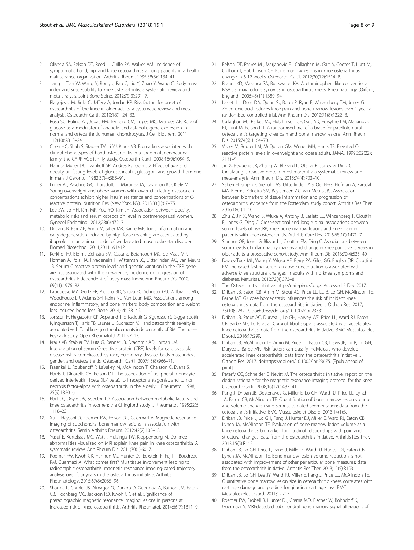- <span id="page-7-0"></span>2. Oliveria SA, Felson DT, Reed JI, Cirillo PA, Walker AM. Incidence of symptomatic hand, hip, and knee osteoarthritis among patients in a health maintenance organization. Arthritis Rheum. 1995;38(8):1134–41.
- 3. Jiang L, Tian W, Wang Y, Rong J, Bao C, Liu Y, Zhao Y, Wang C. Body mass index and susceptibility to knee osteoarthritis: a systematic review and meta-analysis. Joint Bone Spine. 2012;79(3):291–7.
- 4. Blagojevic M, Jinks C, Jeffery A, Jordan KP. Risk factors for onset of osteoarthritis of the knee in older adults: a systematic review and metaanalysis. Osteoarthr Cartil. 2010;18(1):24–33.
- 5. Rosa SC, Rufino AT, Judas FM, Tenreiro CM, Lopes MC, Mendes AF. Role of glucose as a modulator of anabolic and catabolic gene expression in normal and osteoarthritic human chondrocytes. J Cell Biochem. 2011; 112(10):2813–24.
- 6. Chen HC, Shah S, Stabler TV, Li YJ, Kraus VB. Biomarkers associated with clinical phenotypes of hand osteoarthritis in a large multigenerational family: the CARRIAGE family study. Osteoarthr Cartil. 2008;16(9):1054–9.
- 7. Elahi D, Muller DC, Tzankoff SP, Andres R, Tobin JD. Effect of age and obesity on fasting levels of glucose, insulin, glucagon, and growth hormone in man. J Gerontol. 1982;37(4):385–91.
- 8. Lucey AJ, Paschos GK, Thorsdottir I, Martinez JA, Cashman KD, Kiely M. Young overweight and obese women with lower circulating osteocalcin concentrations exhibit higher insulin resistance and concentrations of Creactive protein. Nutrition Res (New York, NY). 2013;33(1):67–75.
- 9. Lee SW, Jo HH, Kim MR, You YO, Kim JH. Association between obesity, metabolic risks and serum osteocalcin level in postmenopausal women. Gynecol Endocrinol. 2012;28(6):472–7.
- 10. Driban JB, Barr AE, Amin M, Sitler MR, Barbe MF. Joint inflammation and early degeneration induced by high force reaching are attenuated by ibuprofen in an animal model of work-related musculoskeletal disorder. J Biomed Biotechnol. 2011;2011:691412.
- 11. Kerkhof HJ, Bierma-Zeinstra SM, Castano-Betancourt MC, de Maat MP, Hofman A, Pols HA, Rivadeneira F, Witteman JC, Uitterlinden AG, van Meurs JB. Serum C reactive protein levels and genetic variation in the CRP gene are not associated with the prevalence, incidence or progression of osteoarthritis independent of body mass index. Ann Rheum Dis. 2010; 69(11):1976–82.
- 12. Labouesse MA, Gertz ER, Piccolo BD, Souza EC, Schuster GU, Witbracht MG, Woodhouse LR, Adams SH, Keim NL, Van Loan MD. Associations among endocrine, inflammatory, and bone markers, body composition and weight loss induced bone loss. Bone. 2014;64:138–46.
- 13. Jonsson H, Helgadottir GP, Aspelund T, Eiriksdottir G, Sigurdsson S, Siggeirsdottir K, Ingvarsson T, Harris TB, Launer L, Gudnason V. Hand osteoarthritis severity is associated with Total knee joint replacements independently of BMI. The ages-Reykjavik study. Open Rheumatol J. 2011;5:7–12.
- 14. Kraus VB, Stabler TV, Luta G, Renner JB, Dragomir AD, Jordan JM. Interpretation of serum C-reactive protein (CRP) levels for cardiovascular disease risk is complicated by race, pulmonary disease, body mass index, gender, and osteoarthritis. Osteoarthr Cartil. 2007;15(8):966–71.
- 15. Fraenkel L, Roubenoff R, LaValley M, McAlindon T, Chaisson C, Evans S, Harris T, Dinarello CA, Felson DT. The association of peripheral monocyte derived interleukin 1beta (IL-1beta), IL-1 receptor antagonist, and tumor necrosis factor-alpha with osteoarthritis in the elderly. J Rheumatol. 1998; 25(9):1820–6.
- 16. Hart DJ, Doyle DV, Spector TD. Association between metabolic factors and knee osteoarthritis in women: the Chingford study. J Rheumatol. 1995;22(6): 1118–23.
- 17. Xu L, Hayashi D, Roemer FW, Felson DT, Guermazi A. Magnetic resonance imaging of subchondral bone marrow lesions in association with osteoarthritis. Semin Arthritis Rheum. 2012;42(2):105–18.
- 18. Yusuf E, Kortekaas MC, Watt I, Huizinga TW, Kloppenburg M. Do knee abnormalities visualised on MRI explain knee pain in knee osteoarthritis? A systematic review. Ann Rheum Dis. 2011;70(1):60–7.
- 19. Roemer FW, Kwoh CK, Hannon MJ, Hunter DJ, Eckstein F, Fujii T, Boudreau RM, Guermazi A. What comes first? Multitissue involvement leading to radiographic osteoarthritis: magnetic resonance imaging-based trajectory analysis over four years in the osteoarthritis initiative. Arthritis Rheumatology. 2015;67(8):2085–96.
- 20. Sharma L, Chmiel JS, Almagor O, Dunlop D, Guermazi A, Bathon JM, Eaton CB, Hochberg MC, Jackson RD, Kwoh CK, et al. Significance of preradiographic magnetic resonance imaging lesions in persons at increased risk of knee osteoarthritis. Arthritis Rheumatol. 2014;66(7):1811–9.
- 21. Felson DT, Parkes MJ, Marjanovic EJ, Callaghan M, Gait A, Cootes T, Lunt M, Oldham J, Hutchinson CE. Bone marrow lesions in knee osteoarthritis change in 6-12 weeks. Osteoarthr Cartil. 2012;20(12):1514–8.
- 22. Brandt KD, Mazzuca SA, Buckwalter KA. Acetaminophen, like conventional NSAIDs, may reduce synovitis in osteoarthritic knees. Rheumatology (Oxford, England). 2006;45(11):1389–94.
- Laslett LL, Dore DA, Quinn SJ, Boon P, Ryan E, Winzenberg TM, Jones G. Zoledronic acid reduces knee pain and bone marrow lesions over 1 year: a randomised controlled trial. Ann Rheum Dis. 2012;71(8):1322–8.
- 24. Callaghan MJ, Parkes MJ, Hutchinson CE, Gait AD, Forsythe LM, Marjanovic EJ, Lunt M, Felson DT. A randomised trial of a brace for patellofemoral osteoarthritis targeting knee pain and bone marrow lesions. Ann Rheum Dis. 2015;74(6):1164–70.
- 25. Visser M, Bouter LM, McQuillan GM, Wener MH, Harris TB. Elevated Creactive protein levels in overweight and obese adults. JAMA. 1999;282(22): 2131–5.
- 26. Jin X, Beguerie JR, Zhang W, Blizzard L, Otahal P, Jones G, Ding C. Circulating C reactive protein in osteoarthritis: a systematic review and meta-analysis. Ann Rheum Dis. 2015;74(4):703–10.
- 27. Saberi Hosnijeh F, Siebuhr AS, Uitterlinden AG, Oei EHG, Hofman A, Karsdal MA, Bierma-Zeinstra SM, Bay-Jensen AC, van Meurs JBJ. Association between biomarkers of tissue inflammation and progression of osteoarthritis: evidence from the Rotterdam study cohort. Arthritis Res Ther. 2016;18(1):1–10.
- 28. Zhu Z, Jin X, Wang B, Wluka A, Antony B, Laslett LL, Winzenberg T, Cicuttini F, Jones G, Ding C. Cross-sectional and longitudinal associations between serum levels of hs-CRP, knee bone marrow lesions and knee pain in patients with knee osteoarthritis. Arthritis Care Res. 2016;68(10):1471–7.
- 29. Stannus OP, Jones G, Blizzard L, Cicuttini FM, Ding C. Associations between serum levels of inflammatory markers and change in knee pain over 5 years in older adults: a prospective cohort study. Ann Rheum Dis. 2013;72(4):535–40.
- 30. Davies-Tuck ML, Wang Y, Wluka AE, Berry PA, Giles GG, English DR, Cicuttini FM. Increased fasting serum glucose concentration is associated with adverse knee structural changes in adults with no knee symptoms and diabetes. Maturitas. 2012;72(4):373–8.
- 31. The Osteoarthritis Initiative.<http://oai.epi-ucsf.org/>. Accessed 5 Dec 2017.
- 32. Driban JB, Eaton CB, Amin M, Stout AC, Price LL, Lu B, Lo GH, McAlindon TE, Barbe MF. Glucose homeostasis influences the risk of incident knee osteoarthritis: data from the osteoarthritis initiative. J Orthop Res. 2017; 35(10):2282–7. doi:[https://doi.org/10.1002/jor.23531](http://dx.doi.org/10.1002/jor.23531).
- 33. Driban JB, Stout AC, Duryea J, Lo GH, Harvey WF, Price LL, Ward RJ, Eaton CB, Barbe MF, Lu B, et al. Coronal tibial slope is associated with accelerated knee osteoarthritis: data from the osteoarthritis initiative. BMC Musculoskelet Disord. 2016;17:299.
- 34. Driban JB, McAlindon TE, Amin M, Price LL, Eaton CB, Davis JE, Lu B, Lo GH, Duryea J, Barbe MF. Risk factors can classify individuals who develop accelerated knee osteoarthritis: data from the osteoarthritis initiative. J Orthop Res. 2017. doi[:https://doi.org/10.1002/jor.23675](http://dx.doi.org/10.1002/jor.23675). [Epub ahead of print].
- 35. Peterfy CG, Schneider E, Nevitt M. The osteoarthritis initiative: report on the design rationale for the magnetic resonance imaging protocol for the knee. Osteoarthr Cartil. 2008;16(12):1433–41.
- 36. Pang J, Driban JB, Destenaves G, Miller E, Lo GH, Ward RJ, Price LL, Lynch JA, Eaton CB, McAlindon TE. Quantification of bone marrow lesion volume and volume change using semi-automated segmentation: data from the osteoarthritis initiative. BMC Musculoskelet Disord. 2013;14(1):3.
- 37. Driban JB, Price L, Lo GH, Pang J, Hunter DJ, Miller E, Ward RJ, Eaton CB, Lynch JA, McAlindon TE. Evaluation of bone marrow lesion volume as a knee osteoarthritis biomarker–longitudinal relationships with pain and structural changes: data from the osteoarthritis initiative. Arthritis Res Ther. 2013;15(5):R112.
- 38. Driban JB, Lo GH, Price L, Pang J, Miller E, Ward RJ, Hunter DJ, Eaton CB, Lynch JA, McAlindon TE. Bone marrow lesion volume reduction is not associated with improvement of other periarticular bone measures: data from the osteoarthritis initiative. Arthritis Res Ther. 2013;15(5):R153.
- 39. Driban JB, Lo GH, Lee JY, Ward RJ, Miller E, Pang J, Price LL, McAlindon TE. Quantitative bone marrow lesion size in osteoarthritic knees correlates with cartilage damage and predicts longitudinal cartilage loss. BMC Musculoskelet Disord. 2011;12:217.
- 40. Roemer FW, Frobell R, Hunter DJ, Crema MD, Fischer W, Bohndorf K, Guermazi A. MRI-detected subchondral bone marrow signal alterations of